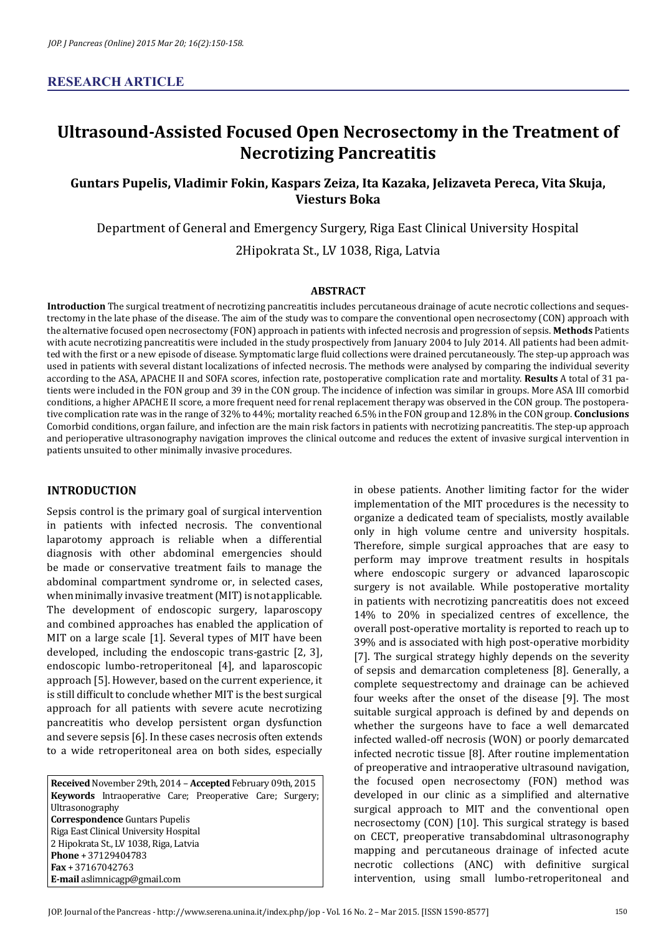# **Ultrasound-Assisted Focused Open Necrosectomy in the Treatment of Necrotizing Pancreatitis**

# **Guntars Pupelis, Vladimir Fokin, Kaspars Zeiza, Ita Kazaka, Jelizaveta Pereca, Vita Skuja, Viesturs Boka**

Department of General and Emergency Surgery, Riga East Clinical University Hospital 2Hipokrata St., LV 1038, Riga, Latvia

## **ABSTRACT**

**Introduction** The surgical treatment of necrotizing pancreatitis includes percutaneous drainage of acute necrotic collections and sequestrectomy in the late phase of the disease. The aim of the study was to compare the conventional open necrosectomy (CON) approach with the alternative focused open necrosectomy (FON) approach in patients with infected necrosis and progression of sepsis. **Methods** Patients with acute necrotizing pancreatitis were included in the study prospectively from January 2004 to July 2014. All patients had been admitted with the first or a new episode of disease. Symptomatic large fluid collections were drained percutaneously. The step-up approach was used in patients with several distant localizations of infected necrosis. The methods were analysed by comparing the individual severity according to the ASA, APACHE II and SOFA scores, infection rate, postoperative complication rate and mortality. **Results** A total of 31 patients were included in the FON group and 39 in the CON group. The incidence of infection was similar in groups. More ASA III comorbid conditions, a higher APACHE II score, a more frequent need for renal replacement therapy was observed in the CON group. The postoperative complication rate was in the range of 32% to 44%; mortality reached 6.5% in the FON group and 12.8% in the CON group. **Conclusions**  Comorbid conditions, organ failure, and infection are the main risk factors in patients with necrotizing pancreatitis. The step-up approach and perioperative ultrasonography navigation improves the clinical outcome and reduces the extent of invasive surgical intervention in patients unsuited to other minimally invasive procedures.

# **INTRODUCTION**

Sepsis control is the primary goal of surgical intervention in patients with infected necrosis. The conventional laparotomy approach is reliable when a differential diagnosis with other abdominal emergencies should be made or conservative treatment fails to manage the abdominal compartment syndrome or, in selected cases, when minimally invasive treatment (MIT) is not applicable. The development of endoscopic surgery, laparoscopy and combined approaches has enabled the application of MIT on a large scale [1]. Several types of MIT have been developed, including the endoscopic trans-gastric [2, 3], endoscopic lumbo-retroperitoneal [4], and laparoscopic approach [5]. However, based on the current experience, it is still difficult to conclude whether MIT is the best surgical approach for all patients with severe acute necrotizing pancreatitis who develop persistent organ dysfunction and severe sepsis [6]. In these cases necrosis often extends to a wide retroperitoneal area on both sides, especially

**Received** November 29th, 2014 – **Accepted** February 09th, 2015 **Keywords** Intraoperative Care; Preoperative Care; Surgery; Ultrasonography **Correspondence** Guntars Pupelis Riga East Clinical University Hospital 2 Hipokrata St., LV 1038, Riga, Latvia **Phone** + 37129404783 **Fax** + 37167042763 **E-mail** aslimnicagp@gmail.com

in obese patients. Another limiting factor for the wider implementation of the MIT procedures is the necessity to organize a dedicated team of specialists, mostly available only in high volume centre and university hospitals. Therefore, simple surgical approaches that are easy to perform may improve treatment results in hospitals where endoscopic surgery or advanced laparoscopic surgery is not available. While postoperative mortality in patients with necrotizing pancreatitis does not exceed 14% to 20% in specialized centres of excellence, the overall post-operative mortality is reported to reach up to 39% and is associated with high post-operative morbidity [7]. The surgical strategy highly depends on the severity of sepsis and demarcation completeness [8]. Generally, a complete sequestrectomy and drainage can be achieved four weeks after the onset of the disease [9]. The most suitable surgical approach is defined by and depends on whether the surgeons have to face a well demarcated infected walled-off necrosis (WON) or poorly demarcated infected necrotic tissue [8]. After routine implementation of preoperative and intraoperative ultrasound navigation, the focused open necrosectomy (FON) method was developed in our clinic as a simplified and alternative surgical approach to MIT and the conventional open necrosectomy (CON) [10]. This surgical strategy is based on CECT, preoperative transabdominal ultrasonography mapping and percutaneous drainage of infected acute necrotic collections (ANC) with definitive surgical intervention, using small lumbo-retroperitoneal and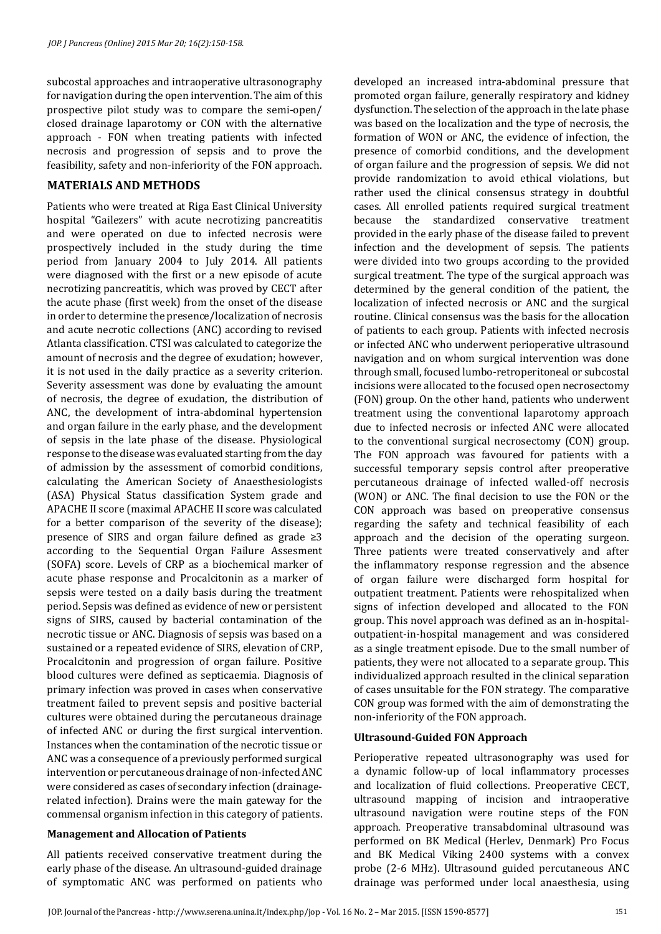subcostal approaches and intraoperative ultrasonography for navigation during the open intervention. The aim of this prospective pilot study was to compare the semi-open/ closed drainage laparotomy or CON with the alternative approach - FON when treating patients with infected necrosis and progression of sepsis and to prove the feasibility, safety and non-inferiority of the FON approach.

## **MATERIALS AND METHODS**

Patients who were treated at Riga East Clinical University hospital "Gailezers" with acute necrotizing pancreatitis and were operated on due to infected necrosis were prospectively included in the study during the time period from January 2004 to July 2014. All patients were diagnosed with the first or a new episode of acute necrotizing pancreatitis, which was proved by CECT after the acute phase (first week) from the onset of the disease in order to determine the presence/localization of necrosis and acute necrotic collections (ANC) according to revised Atlanta classification. CTSI was calculated to categorize the amount of necrosis and the degree of exudation; however, it is not used in the daily practice as a severity criterion. Severity assessment was done by evaluating the amount of necrosis, the degree of exudation, the distribution of ANC, the development of intra-abdominal hypertension and organ failure in the early phase, and the development of sepsis in the late phase of the disease. Physiological response to the disease was evaluated starting from the day of admission by the assessment of comorbid conditions, calculating the American Society of Anaesthesiologists (ASA) Physical Status classification System grade and APACHE II score (maximal APACHE II score was calculated for a better comparison of the severity of the disease); presence of SIRS and organ failure defined as grade ≥3 according to the Sequential Organ Failure Assesment (SOFA) score. Levels of CRP as a biochemical marker of acute phase response and Procalcitonin as a marker of sepsis were tested on a daily basis during the treatment period. Sepsis was defined as evidence of new or persistent signs of SIRS, caused by bacterial contamination of the necrotic tissue or ANC. Diagnosis of sepsis was based on a sustained or a repeated evidence of SIRS, elevation of CRP, Procalcitonin and progression of organ failure. Positive blood cultures were defined as septicaemia. Diagnosis of primary infection was proved in cases when conservative treatment failed to prevent sepsis and positive bacterial cultures were obtained during the percutaneous drainage of infected ANC or during the first surgical intervention. Instances when the contamination of the necrotic tissue or ANC was a consequence of a previously performed surgical intervention or percutaneous drainage of non-infected ANC were considered as cases of secondary infection (drainagerelated infection). Drains were the main gateway for the commensal organism infection in this category of patients.

# **Management and Allocation of Patients**

All patients received conservative treatment during the early phase of the disease. An ultrasound-guided drainage of symptomatic ANC was performed on patients who

developed an increased intra-abdominal pressure that promoted organ failure, generally respiratory and kidney dysfunction. The selection of the approach in the late phase was based on the localization and the type of necrosis, the formation of WON or ANC, the evidence of infection, the presence of comorbid conditions, and the development of organ failure and the progression of sepsis. We did not provide randomization to avoid ethical violations, but rather used the clinical consensus strategy in doubtful cases. All enrolled patients required surgical treatment because the standardized conservative treatment provided in the early phase of the disease failed to prevent infection and the development of sepsis. The patients were divided into two groups according to the provided surgical treatment. The type of the surgical approach was determined by the general condition of the patient, the localization of infected necrosis or ANC and the surgical routine. Clinical consensus was the basis for the allocation of patients to each group. Patients with infected necrosis or infected ANC who underwent perioperative ultrasound navigation and on whom surgical intervention was done through small, focused lumbo-retroperitoneal or subcostal incisions were allocated to the focused open necrosectomy (FON) group. On the other hand, patients who underwent treatment using the conventional laparotomy approach due to infected necrosis or infected ANC were allocated to the conventional surgical necrosectomy (CON) group. The FON approach was favoured for patients with a successful temporary sepsis control after preoperative percutaneous drainage of infected walled-off necrosis (WON) or ANC. The final decision to use the FON or the CON approach was based on preoperative consensus regarding the safety and technical feasibility of each approach and the decision of the operating surgeon. Three patients were treated conservatively and after the inflammatory response regression and the absence of organ failure were discharged form hospital for outpatient treatment. Patients were rehospitalized when signs of infection developed and allocated to the FON group. This novel approach was defined as an in-hospitaloutpatient-in-hospital management and was considered as a single treatment episode. Due to the small number of patients, they were not allocated to a separate group. This individualized approach resulted in the clinical separation of cases unsuitable for the FON strategy. The comparative CON group was formed with the aim of demonstrating the non-inferiority of the FON approach.

## **Ultrasound-Guided FON Approach**

Perioperative repeated ultrasonography was used for a dynamic follow-up of local inflammatory processes and localization of fluid collections. Preoperative CECT, ultrasound mapping of incision and intraoperative ultrasound navigation were routine steps of the FON approach. Preoperative transabdominal ultrasound was performed on BK Medical (Herlev, Denmark) Pro Focus and BK Medical Viking 2400 systems with a convex probe (2-6 MHz). Ultrasound guided percutaneous ANC drainage was performed under local anaesthesia, using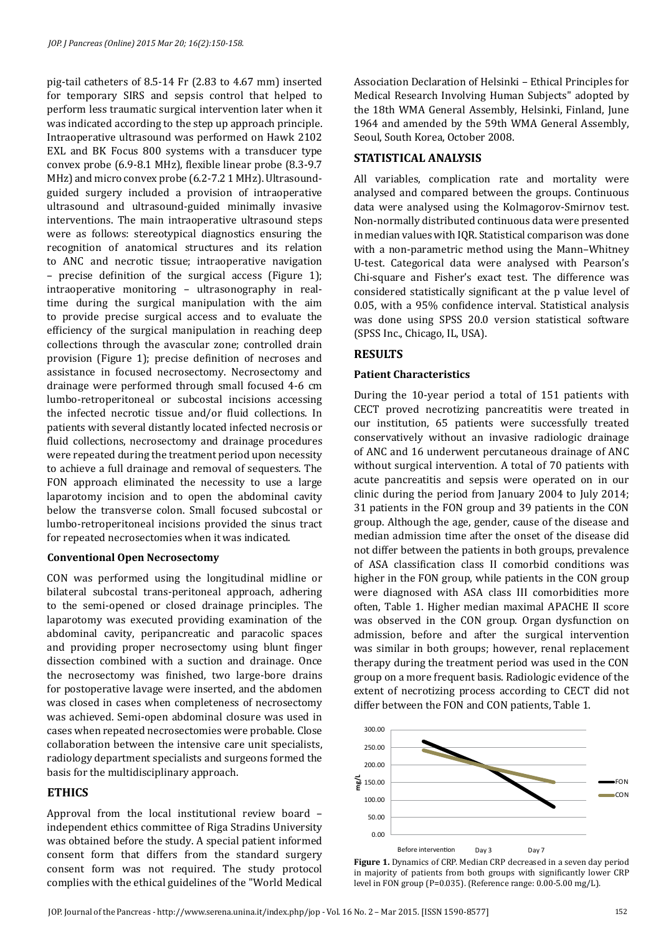pig-tail catheters of 8.5-14 Fr (2.83 to 4.67 mm) inserted for temporary SIRS and sepsis control that helped to perform less traumatic surgical intervention later when it was indicated according to the step up approach principle. Intraoperative ultrasound was performed on Hawk 2102 EXL and BK Focus 800 systems with a transducer type convex probe (6.9-8.1 MHz), flexible linear probe (8.3-9.7 MHz) and micro convex probe (6.2-7.2 1 MHz). Ultrasoundguided surgery included a provision of intraoperative ultrasound and ultrasound-guided minimally invasive interventions. The main intraoperative ultrasound steps were as follows: stereotypical diagnostics ensuring the recognition of anatomical structures and its relation to ANC and necrotic tissue; intraoperative navigation – precise definition of the surgical access (Figure 1); intraoperative monitoring – ultrasonography in realtime during the surgical manipulation with the aim to provide precise surgical access and to evaluate the efficiency of the surgical manipulation in reaching deep collections through the avascular zone; controlled drain provision (Figure 1); precise definition of necroses and assistance in focused necrosectomy. Necrosectomy and drainage were performed through small focused 4-6 cm lumbo-retroperitoneal or subcostal incisions accessing the infected necrotic tissue and/or fluid collections. In patients with several distantly located infected necrosis or fluid collections, necrosectomy and drainage procedures were repeated during the treatment period upon necessity to achieve a full drainage and removal of sequesters. The FON approach eliminated the necessity to use a large laparotomy incision and to open the abdominal cavity below the transverse colon. Small focused subcostal or lumbo-retroperitoneal incisions provided the sinus tract for repeated necrosectomies when it was indicated.

## **Conventional Open Necrosectomy**

CON was performed using the longitudinal midline or bilateral subcostal trans-peritoneal approach, adhering to the semi-opened or closed drainage principles. The laparotomy was executed providing examination of the abdominal cavity, peripancreatic and paracolic spaces and providing proper necrosectomy using blunt finger dissection combined with a suction and drainage. Once the necrosectomy was finished, two large-bore drains for postoperative lavage were inserted, and the abdomen was closed in cases when completeness of necrosectomy was achieved. Semi-open abdominal closure was used in cases when repeated necrosectomies were probable. Close collaboration between the intensive care unit specialists, radiology department specialists and surgeons formed the basis for the multidisciplinary approach.

# **ETHICS**

Approval from the local institutional review board – independent ethics committee of Riga Stradins University was obtained before the study. A special patient informed consent form that differs from the standard surgery consent form was not required. The study protocol complies with the ethical guidelines of the "World Medical

Association Declaration of Helsinki – Ethical Principles for Medical Research Involving Human Subjects" adopted by the 18th WMA General Assembly, Helsinki, Finland, June 1964 and amended by the 59th WMA General Assembly, Seoul, South Korea, October 2008.

# **STATISTICAL ANALYSIS**

All variables, complication rate and mortality were analysed and compared between the groups. Continuous data were analysed using the Kolmagorov-Smirnov test. Non-normally distributed continuous data were presented in median values with IQR. Statistical comparison was done with a non-parametric method using the Mann–Whitney U-test. Categorical data were analysed with Pearson's Chi-square and Fisher's exact test. The difference was considered statistically significant at the p value level of 0.05, with a 95% confidence interval. Statistical analysis was done using SPSS 20.0 version statistical software (SPSS Inc., Chicago, IL, USA).

# **RESULTS**

## **Patient Characteristics**

During the 10-year period a total of 151 patients with CECT proved necrotizing pancreatitis were treated in our institution, 65 patients were successfully treated conservatively without an invasive radiologic drainage of ANC and 16 underwent percutaneous drainage of ANC without surgical intervention. A total of 70 patients with acute pancreatitis and sepsis were operated on in our clinic during the period from January 2004 to July 2014; 31 patients in the FON group and 39 patients in the CON group. Although the age, gender, cause of the disease and median admission time after the onset of the disease did not differ between the patients in both groups, prevalence of ASA classification class II comorbid conditions was higher in the FON group, while patients in the CON group were diagnosed with ASA class III comorbidities more often, Table 1. Higher median maximal APACHE II score was observed in the CON group. Organ dysfunction on admission, before and after the surgical intervention was similar in both groups; however, renal replacement therapy during the treatment period was used in the CON group on a more frequent basis. Radiologic evidence of the extent of necrotizing process according to CECT did not differ between the FON and CON patients, Table 1.



**Figure 1.** Dynamics of CRP. Median CRP decreased in a seven day period in majority of patients from both groups with significantly lower CRP level in FON group (P=0.035). (Reference range: 0.00-5.00 mg/L).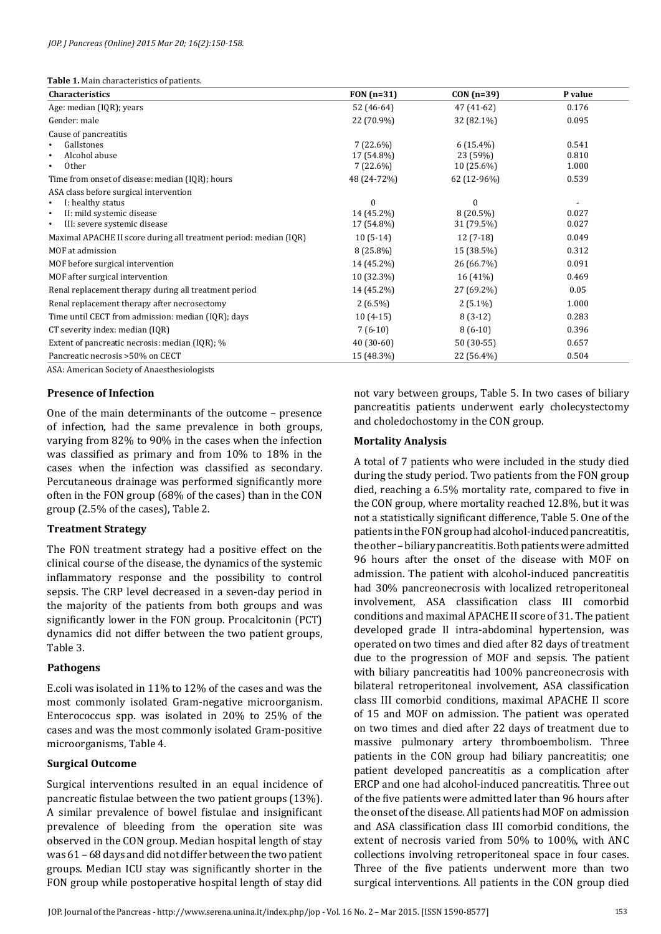**Table 1.** Main characteristics of patients.

| <b>Characteristics</b>                                            | $FON(n=31)$ | $CON(n=39)$  | P value |
|-------------------------------------------------------------------|-------------|--------------|---------|
| Age: median (IQR); years                                          | 52 (46-64)  | 47 (41-62)   | 0.176   |
| Gender: male                                                      | 22 (70.9%)  | 32 (82.1%)   | 0.095   |
| Cause of pancreatitis                                             |             |              |         |
| Gallstones                                                        | $7(22.6\%)$ | $6(15.4\%)$  | 0.541   |
| Alcohol abuse                                                     | 17 (54.8%)  | 23 (59%)     | 0.810   |
| Other                                                             | $7(22.6\%)$ | $10(25.6\%)$ | 1.000   |
| Time from onset of disease: median (IQR); hours                   | 48 (24-72%) | 62 (12-96%)  | 0.539   |
| ASA class before surgical intervention                            |             |              |         |
| I: healthy status                                                 | $\Omega$    | $\Omega$     |         |
| II: mild systemic disease                                         | 14 (45.2%)  | $8(20.5\%)$  | 0.027   |
| III: severe systemic disease                                      | 17 (54.8%)  | 31 (79.5%)   | 0.027   |
| Maximal APACHE II score during all treatment period: median (IQR) | $10(5-14)$  | $12(7-18)$   | 0.049   |
| MOF at admission                                                  | $8(25.8\%)$ | 15 (38.5%)   | 0.312   |
| MOF before surgical intervention                                  | 14 (45.2%)  | 26 (66.7%)   | 0.091   |
| MOF after surgical intervention                                   | 10 (32.3%)  | 16 (41%)     | 0.469   |
| Renal replacement therapy during all treatment period             | 14 (45.2%)  | 27 (69.2%)   | 0.05    |
| Renal replacement therapy after necrosectomy                      | $2(6.5\%)$  | $2(5.1\%)$   | 1.000   |
| Time until CECT from admission: median (IQR); days                | $10(4-15)$  | $8(3-12)$    | 0.283   |
| CT severity index: median (IQR)                                   | $7(6-10)$   | $8(6-10)$    | 0.396   |
| Extent of pancreatic necrosis: median (IQR); %                    | $40(30-60)$ | $50(30-55)$  | 0.657   |
| Pancreatic necrosis >50% on CECT                                  | 15 (48.3%)  | 22 (56.4%)   | 0.504   |

ASA: American Society of Anaesthesiologists

## **Presence of Infection**

One of the main determinants of the outcome – presence of infection, had the same prevalence in both groups, varying from 82% to 90% in the cases when the infection was classified as primary and from 10% to 18% in the cases when the infection was classified as secondary. Percutaneous drainage was performed significantly more often in the FON group (68% of the cases) than in the CON group (2.5% of the cases), Table 2.

#### **Treatment Strategy**

The FON treatment strategy had a positive effect on the clinical course of the disease, the dynamics of the systemic inflammatory response and the possibility to control sepsis. The CRP level decreased in a seven-day period in the majority of the patients from both groups and was significantly lower in the FON group. Procalcitonin (PCT) dynamics did not differ between the two patient groups, Table 3.

#### **Pathogens**

E.coli was isolated in 11% to 12% of the cases and was the most commonly isolated Gram-negative microorganism. Enterococcus spp. was isolated in 20% to 25% of the cases and was the most commonly isolated Gram-positive microorganisms, Table 4.

## **Surgical Outcome**

Surgical interventions resulted in an equal incidence of pancreatic fistulae between the two patient groups (13%). A similar prevalence of bowel fistulae and insignificant prevalence of bleeding from the operation site was observed in the CON group. Median hospital length of stay was 61 – 68 days and did not differ between the two patient groups. Median ICU stay was significantly shorter in the FON group while postoperative hospital length of stay did

not vary between groups, Table 5. In two cases of biliary pancreatitis patients underwent early cholecystectomy and choledochostomy in the CON group.

#### **Mortality Analysis**

A total of 7 patients who were included in the study died during the study period. Two patients from the FON group died, reaching a 6.5% mortality rate, compared to five in the CON group, where mortality reached 12.8%, but it was not a statistically significant difference, Table 5. One of the patients in the FON group had alcohol-induced pancreatitis, the other – biliary pancreatitis. Both patients were admitted 96 hours after the onset of the disease with MOF on admission. The patient with alcohol-induced pancreatitis had 30% pancreonecrosis with localized retroperitoneal involvement, ASA classification class III comorbid conditions and maximal APACHE II score of 31. The patient developed grade II intra-abdominal hypertension, was operated on two times and died after 82 days of treatment due to the progression of MOF and sepsis. The patient with biliary pancreatitis had 100% pancreonecrosis with bilateral retroperitoneal involvement, ASA classification class III comorbid conditions, maximal APACHE II score of 15 and MOF on admission. The patient was operated on two times and died after 22 days of treatment due to massive pulmonary artery thromboembolism. Three patients in the CON group had biliary pancreatitis; one patient developed pancreatitis as a complication after ERCP and one had alcohol-induced pancreatitis. Three out of the five patients were admitted later than 96 hours after the onset of the disease. All patients had MOF on admission and ASA classification class III comorbid conditions, the extent of necrosis varied from 50% to 100%, with ANC collections involving retroperitoneal space in four cases. Three of the five patients underwent more than two surgical interventions. All patients in the CON group died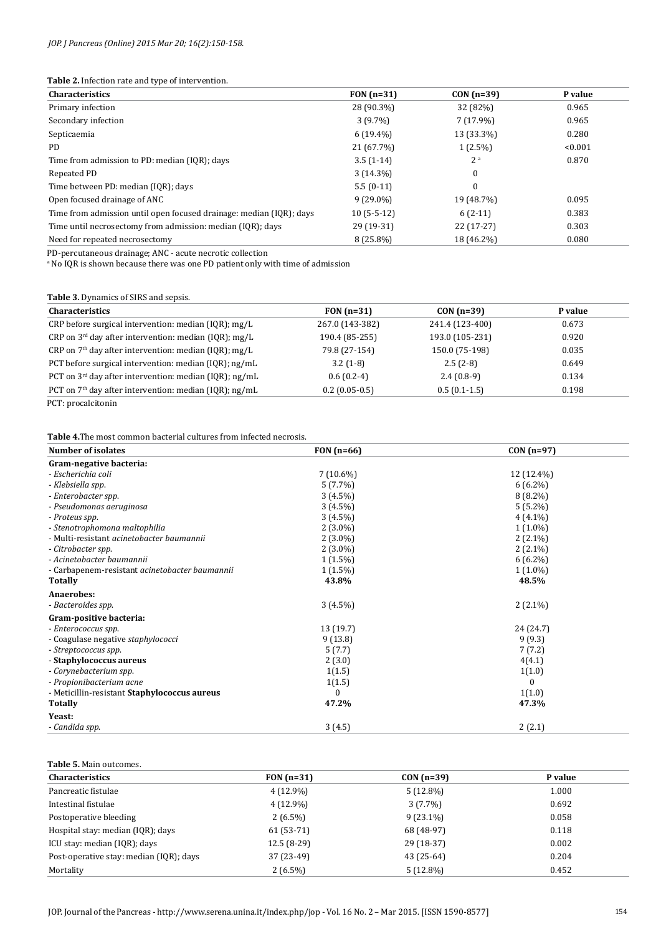#### **Table 2.** Infection rate and type of intervention.

| <b>Characteristics</b>                                              | $FON(n=31)$  | $CON(n=39)$    | P value |
|---------------------------------------------------------------------|--------------|----------------|---------|
| Primary infection                                                   | 28 (90.3%)   | 32 (82%)       | 0.965   |
| Secondary infection                                                 | $3(9.7\%)$   | $7(17.9\%)$    | 0.965   |
| Septicaemia                                                         | $6(19.4\%)$  | 13 (33.3%)     | 0.280   |
| PD.                                                                 | 21 (67.7%)   | $1(2.5\%)$     | < 0.001 |
| Time from admission to PD: median (IQR); days                       | $3.5(1-14)$  | 2 <sup>a</sup> | 0.870   |
| Repeated PD                                                         | $3(14.3\%)$  | $\Omega$       |         |
| Time between PD: median (IQR); days                                 | $5.5(0-11)$  | $\Omega$       |         |
| Open focused drainage of ANC                                        | $9(29.0\%)$  | 19 (48.7%)     | 0.095   |
| Time from admission until open focused drainage: median (IQR); days | $10(5-5-12)$ | $6(2-11)$      | 0.383   |
| Time until necrosectomy from admission: median (IQR); days          | 29 (19-31)   | $22(17-27)$    | 0.303   |
| Need for repeated necrosectomy                                      | $8(25.8\%)$  | 18 (46.2%)     | 0.080   |

PD-percutaneous drainage; ANC - acute necrotic collection a No IQR is shown because there was one PD patient only with time of admission

## **Table 3.** Dynamics of SIRS and sepsis.

| <b>Characteristics</b>                                     | $FON(n=31)$     | $CON(n=39)$     | P value |
|------------------------------------------------------------|-----------------|-----------------|---------|
| CRP before surgical intervention: median (IQR); mg/L       | 267.0 (143-382) | 241.4 (123-400) | 0.673   |
| CRP on $3^{rd}$ day after intervention: median (IQR); mg/L | 190.4 (85-255)  | 193.0 (105-231) | 0.920   |
| CRP on $7th$ day after intervention: median (IQR); mg/L    | 79.8 (27-154)   | 150.0 (75-198)  | 0.035   |
| PCT before surgical intervention: median (IQR); ng/mL      | $3.2(1-8)$      | $2.5(2-8)$      | 0.649   |
| PCT on $3rd$ day after intervention: median (IQR); ng/mL   | $0.6(0.2-4)$    | $2.4(0.8-9)$    | 0.134   |
| PCT on $7th$ day after intervention: median (IQR); ng/mL   | $0.2(0.05-0.5)$ | $0.5(0.1-1.5)$  | 0.198   |
|                                                            |                 |                 |         |

PCT: procalcitonin

**Table 4.**The most common bacterial cultures from infected necrosis.

| <b>Number of isolates</b>                      | FON $(n=66)$ | $CON(n=97)$ |
|------------------------------------------------|--------------|-------------|
| Gram-negative bacteria:                        |              |             |
| - Escherichia coli                             | $7(10.6\%)$  | 12 (12.4%)  |
| - Klebsiella spp.                              | $5(7.7\%)$   | $6(6.2\%)$  |
| - Enterobacter spp.                            | $3(4.5\%)$   | $8(8.2\%)$  |
| - Pseudomonas aeruginosa                       | $3(4.5\%)$   | $5(5.2\%)$  |
| - Proteus spp.                                 | $3(4.5\%)$   | $4(4.1\%)$  |
| - Stenotrophomona maltophilia                  | $2(3.0\%)$   | $1(1.0\%)$  |
| - Multi-resistant acinetobacter baumannii      | $2(3.0\%)$   | $2(2.1\%)$  |
| - Citrobacter spp.                             | $2(3.0\%)$   | $2(2.1\%)$  |
| - Acinetobacter baumannii                      | $1(1.5\%)$   | $6(6.2\%)$  |
| - Carbapenem-resistant acinetobacter baumannii | $1(1.5\%)$   | $1(1.0\%)$  |
| <b>Totally</b>                                 | 43.8%        | 48.5%       |
| Anaerobes:                                     |              |             |
| - Bacteroides spp.                             | $3(4.5\%)$   | $2(2.1\%)$  |
| Gram-positive bacteria:                        |              |             |
| - Enterococcus spp.                            | 13(19.7)     | 24 (24.7)   |
| - Coagulase negative staphylococci             | 9(13.8)      | 9(9.3)      |
| - Streptococcus spp.                           | 5(7.7)       | 7(7.2)      |
| - Staphylococcus aureus                        | 2(3.0)       | 4(4.1)      |
| - Corynebacterium spp.                         | 1(1.5)       | 1(1.0)      |
| - Propionibacterium acne                       | 1(1.5)       | $\Omega$    |
| - Meticillin-resistant Staphylococcus aureus   | 0            | 1(1.0)      |
| <b>Totally</b>                                 | 47.2%        | 47.3%       |
| Yeast:                                         |              |             |
| - Candida spp.                                 | 3(4.5)       | 2(2.1)      |

#### **Table 5.** Main outcomes.

| <b>Characteristics</b>                  | FON $(n=31)$ | $CON(n=39)$ | P value |
|-----------------------------------------|--------------|-------------|---------|
| Pancreatic fistulae                     | 4 (12.9%)    | $5(12.8\%)$ | 1.000   |
| Intestinal fistulae                     | $4(12.9\%)$  | $3(7.7\%)$  | 0.692   |
| Postoperative bleeding                  | $2(6.5\%)$   | $9(23.1\%)$ | 0.058   |
| Hospital stay: median (IQR); days       | $61(53-71)$  | 68 (48-97)  | 0.118   |
| ICU stay: median (IQR); days            | $12.5(8-29)$ | $29(18-37)$ | 0.002   |
| Post-operative stay: median (IOR); days | 37 (23-49)   | 43 (25-64)  | 0.204   |
| Mortality                               | $2(6.5\%)$   | $5(12.8\%)$ | 0.452   |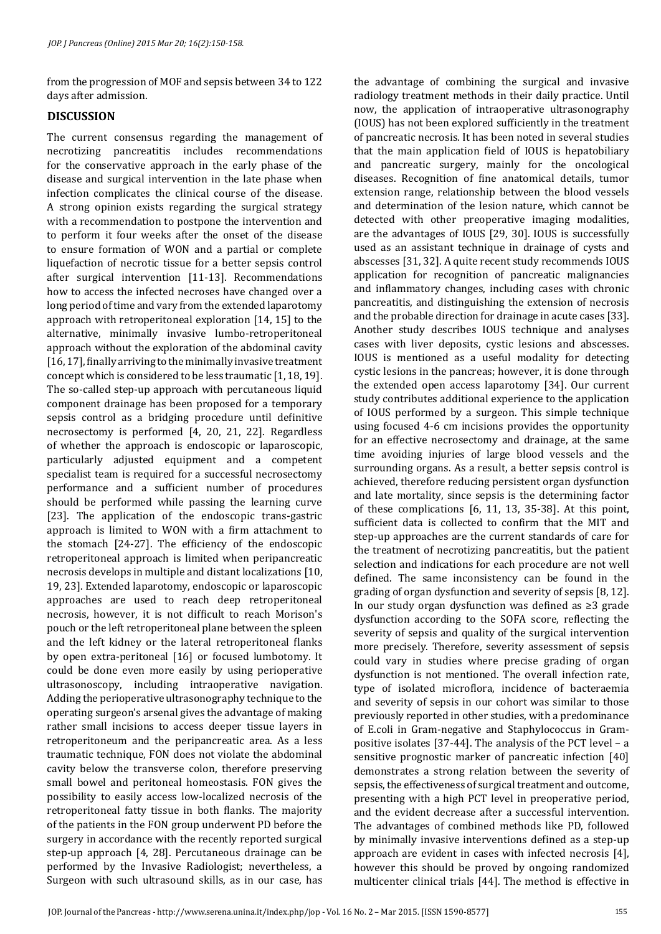from the progression of MOF and sepsis between 34 to 122 days after admission.

# **DISCUSSION**

The current consensus regarding the management of necrotizing pancreatitis includes recommendations for the conservative approach in the early phase of the disease and surgical intervention in the late phase when infection complicates the clinical course of the disease. A strong opinion exists regarding the surgical strategy with a recommendation to postpone the intervention and to perform it four weeks after the onset of the disease to ensure formation of WON and a partial or complete liquefaction of necrotic tissue for a better sepsis control after surgical intervention [11-13]. Recommendations how to access the infected necroses have changed over a long period of time and vary from the extended laparotomy approach with retroperitoneal exploration [14, 15] to the alternative, minimally invasive lumbo-retroperitoneal approach without the exploration of the abdominal cavity [16, 17], finally arriving to the minimally invasive treatment concept which is considered to be less traumatic [1, 18, 19]. The so-called step-up approach with percutaneous liquid component drainage has been proposed for a temporary sepsis control as a bridging procedure until definitive necrosectomy is performed [4, 20, 21, 22]. Regardless of whether the approach is endoscopic or laparoscopic, particularly adjusted equipment and a competent specialist team is required for a successful necrosectomy performance and a sufficient number of procedures should be performed while passing the learning curve [23]. The application of the endoscopic trans-gastric approach is limited to WON with a firm attachment to the stomach [24-27]. The efficiency of the endoscopic retroperitoneal approach is limited when peripancreatic necrosis develops in multiple and distant localizations [10, 19, 23]. Extended laparotomy, endoscopic or laparoscopic approaches are used to reach deep retroperitoneal necrosis, however, it is not difficult to reach Morison's pouch or the left retroperitoneal plane between the spleen and the left kidney or the lateral retroperitoneal flanks by open extra-peritoneal [16] or focused lumbotomy. It could be done even more easily by using perioperative ultrasonoscopy, including intraoperative navigation. Adding the perioperative ultrasonography technique to the operating surgeon's arsenal gives the advantage of making rather small incisions to access deeper tissue layers in retroperitoneum and the peripancreatic area. As a less traumatic technique, FON does not violate the abdominal cavity below the transverse colon, therefore preserving small bowel and peritoneal homeostasis. FON gives the possibility to easily access low-localized necrosis of the retroperitoneal fatty tissue in both flanks. The majority of the patients in the FON group underwent PD before the surgery in accordance with the recently reported surgical step-up approach [4, 28]. Percutaneous drainage can be performed by the Invasive Radiologist; nevertheless, a Surgeon with such ultrasound skills, as in our case, has

the advantage of combining the surgical and invasive radiology treatment methods in their daily practice. Until now, the application of intraoperative ultrasonography (IOUS) has not been explored sufficiently in the treatment of pancreatic necrosis. It has been noted in several studies that the main application field of IOUS is hepatobiliary and pancreatic surgery, mainly for the oncological diseases. Recognition of fine anatomical details, tumor extension range, relationship between the blood vessels and determination of the lesion nature, which cannot be detected with other preoperative imaging modalities, are the advantages of IOUS [29, 30]. IOUS is successfully used as an assistant technique in drainage of cysts and abscesses [31, 32]. A quite recent study recommends IOUS application for recognition of pancreatic malignancies and inflammatory changes, including cases with chronic pancreatitis, and distinguishing the extension of necrosis and the probable direction for drainage in acute cases [33]. Another study describes IOUS technique and analyses cases with liver deposits, cystic lesions and abscesses. IOUS is mentioned as a useful modality for detecting cystic lesions in the pancreas; however, it is done through the extended open access laparotomy [34]. Our current study contributes additional experience to the application of IOUS performed by a surgeon. This simple technique using focused 4-6 cm incisions provides the opportunity for an effective necrosectomy and drainage, at the same time avoiding injuries of large blood vessels and the surrounding organs. As a result, a better sepsis control is achieved, therefore reducing persistent organ dysfunction and late mortality, since sepsis is the determining factor of these complications [6, 11, 13, 35-38]. At this point, sufficient data is collected to confirm that the MIT and step-up approaches are the current standards of care for the treatment of necrotizing pancreatitis, but the patient selection and indications for each procedure are not well defined. The same inconsistency can be found in the grading of organ dysfunction and severity of sepsis [8, 12]. In our study organ dysfunction was defined as ≥3 grade dysfunction according to the SOFA score, reflecting the severity of sepsis and quality of the surgical intervention more precisely. Therefore, severity assessment of sepsis could vary in studies where precise grading of organ dysfunction is not mentioned. The overall infection rate, type of isolated microflora, incidence of bacteraemia and severity of sepsis in our cohort was similar to those previously reported in other studies, with a predominance of E.coli in Gram-negative and Staphylococcus in Grampositive isolates [37-44]. The analysis of the PCT level – a sensitive prognostic marker of pancreatic infection [40] demonstrates a strong relation between the severity of sepsis, the effectiveness of surgical treatment and outcome, presenting with a high PCT level in preoperative period, and the evident decrease after a successful intervention. The advantages of combined methods like PD, followed by minimally invasive interventions defined as a step-up approach are evident in cases with infected necrosis [4], however this should be proved by ongoing randomized multicenter clinical trials [44]. The method is effective in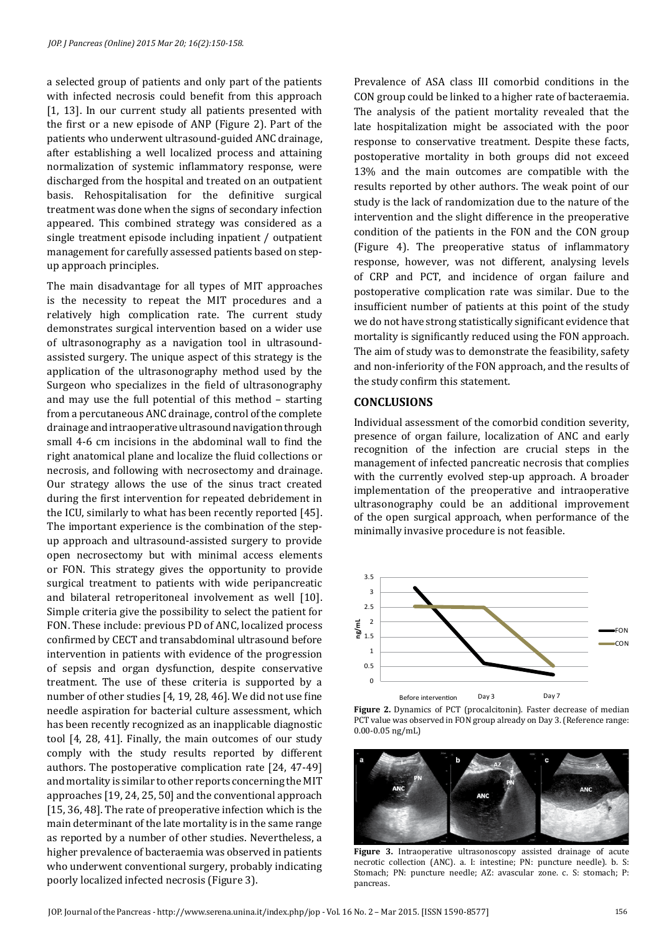a selected group of patients and only part of the patients with infected necrosis could benefit from this approach [1, 13]. In our current study all patients presented with the first or a new episode of ANP (Figure 2). Part of the patients who underwent ultrasound-guided ANC drainage, after establishing a well localized process and attaining normalization of systemic inflammatory response, were discharged from the hospital and treated on an outpatient basis. Rehospitalisation for the definitive surgical treatment was done when the signs of secondary infection appeared. This combined strategy was considered as a single treatment episode including inpatient / outpatient management for carefully assessed patients based on stepup approach principles.

The main disadvantage for all types of MIT approaches is the necessity to repeat the MIT procedures and a relatively high complication rate. The current study demonstrates surgical intervention based on a wider use of ultrasonography as a navigation tool in ultrasoundassisted surgery. The unique aspect of this strategy is the application of the ultrasonography method used by the Surgeon who specializes in the field of ultrasonography and may use the full potential of this method – starting from a percutaneous ANC drainage, control of the complete drainage and intraoperative ultrasound navigation through small 4-6 cm incisions in the abdominal wall to find the right anatomical plane and localize the fluid collections or necrosis, and following with necrosectomy and drainage. Our strategy allows the use of the sinus tract created during the first intervention for repeated debridement in the ICU, similarly to what has been recently reported [45]. The important experience is the combination of the stepup approach and ultrasound-assisted surgery to provide open necrosectomy but with minimal access elements or FON. This strategy gives the opportunity to provide surgical treatment to patients with wide peripancreatic and bilateral retroperitoneal involvement as well [10]. Simple criteria give the possibility to select the patient for FON. These include: previous PD of ANC, localized process confirmed by CECT and transabdominal ultrasound before intervention in patients with evidence of the progression of sepsis and organ dysfunction, despite conservative treatment. The use of these criteria is supported by a number of other studies [4, 19, 28, 46]. We did not use fine needle aspiration for bacterial culture assessment, which has been recently recognized as an inapplicable diagnostic tool [4, 28, 41]. Finally, the main outcomes of our study comply with the study results reported by different authors. The postoperative complication rate [24, 47-49] and mortality is similar to other reports concerning the MIT approaches [19, 24, 25, 50] and the conventional approach [15, 36, 48]. The rate of preoperative infection which is the main determinant of the late mortality is in the same range as reported by a number of other studies. Nevertheless, a higher prevalence of bacteraemia was observed in patients who underwent conventional surgery, probably indicating poorly localized infected necrosis (Figure 3).

Prevalence of ASA class III comorbid conditions in the CON group could be linked to a higher rate of bacteraemia. The analysis of the patient mortality revealed that the late hospitalization might be associated with the poor response to conservative treatment. Despite these facts, postoperative mortality in both groups did not exceed 13% and the main outcomes are compatible with the results reported by other authors. The weak point of our study is the lack of randomization due to the nature of the intervention and the slight difference in the preoperative condition of the patients in the FON and the CON group (Figure 4). The preoperative status of inflammatory response, however, was not different, analysing levels of CRP and PCT, and incidence of organ failure and postoperative complication rate was similar. Due to the insufficient number of patients at this point of the study we do not have strong statistically significant evidence that mortality is significantly reduced using the FON approach. The aim of study was to demonstrate the feasibility, safety and non-inferiority of the FON approach, and the results of the study confirm this statement.

## **CONCLUSIONS**

Individual assessment of the comorbid condition severity, presence of organ failure, localization of ANC and early recognition of the infection are crucial steps in the management of infected pancreatic necrosis that complies with the currently evolved step-up approach. A broader implementation of the preoperative and intraoperative ultrasonography could be an additional improvement of the open surgical approach, when performance of the minimally invasive procedure is not feasible.



**Figure 2.** Dynamics of PCT (procalcitonin). Faster decrease of median PCT value was observed in FON group already on Day 3. (Reference range: 0.00-0.05 ng/mL)



**Figure 3.** Intraoperative ultrasonoscopy assisted drainage of acute necrotic collection (ANC). a. I: intestine; PN: puncture needle). b. S: Stomach; PN: puncture needle; AZ: avascular zone. c. S: stomach; P: pancreas.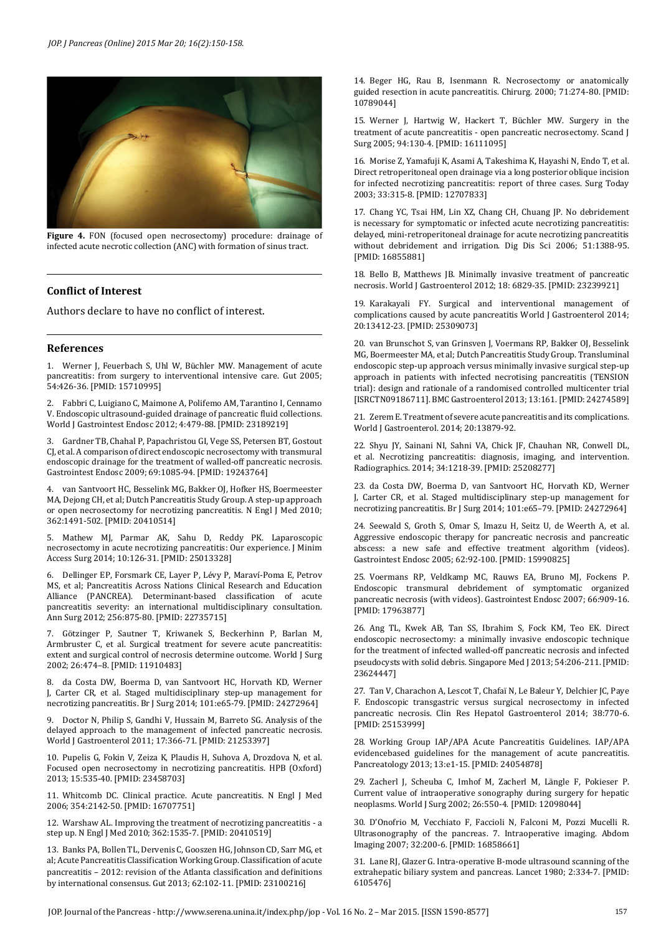

**Figure 4.** FON (focused open necrosectomy) procedure: drainage of infected acute necrotic collection (ANC) with formation of sinus tract.

#### **Conflict of Interest**

Authors declare to have no conflict of interest.

#### **References**

1. Werner J, Feuerbach S, Uhl W, Büchler MW. Management of acute pancreatitis: from surgery to interventional intensive care. Gut 2005; 54:426-36. [PMID: 15710995]

2. Fabbri C, Luigiano C, Maimone A, Polifemo AM, Tarantino I, Cennamo V. Endoscopic ultrasound-guided drainage of pancreatic fluid collections. World J Gastrointest Endosc 2012; 4:479-88. [PMID: 23189219]

3. Gardner TB, Chahal P, Papachristou GI, Vege SS, Petersen BT, Gostout CJ, et al. A comparison of direct endoscopic necrosectomy with transmural endoscopic drainage for the treatment of walled-off pancreatic necrosis. Gastrointest Endosc 2009; 69:1085-94. [PMID: 19243764]

4. van Santvoort HC, Besselink MG, Bakker OJ, Hofker HS, Boermeester MA, Dejong CH, et al; Dutch Pancreatitis Study Group. A step-up approach or open necrosectomy for necrotizing pancreatitis. N Engl J Med 2010; 362:1491-502. [PMID: 20410514]

5. Mathew MJ, Parmar AK, Sahu D, Reddy PK. Laparoscopic necrosectomy in acute necrotizing pancreatitis: Our experience. J Minim Access Surg 2014; 10:126-31. [PMID: 25013328]

6. Dellinger EP, Forsmark CE, Layer P, Lévy P, Maraví-Poma E, Petrov MS, et al; Pancreatitis Across Nations Clinical Research and Education Alliance (PANCREA). Determinant-based classification of acute pancreatitis severity: an international multidisciplinary consultation. Ann Surg 2012; 256:875-80. [PMID: 22735715]

7. Götzinger P, Sautner T, Kriwanek S, Beckerhinn P, Barlan M, Armbruster C, et al. Surgical treatment for severe acute pancreatitis: extent and surgical control of necrosis determine outcome. World J Surg 2002; 26:474–8. [PMID: 11910483]

8. da Costa DW, Boerma D, van Santvoort HC, Horvath KD, Werner J, Carter CR, et al. Staged multidisciplinary step-up management for necrotizing pancreatitis. Br J Surg 2014; 101:e65-79. [PMID: 24272964]

9. Doctor N, Philip S, Gandhi V, Hussain M, Barreto SG. Analysis of the delayed approach to the management of infected pancreatic necrosis. World J Gastroenterol 2011; 17:366-71. [PMID: 21253397]

10. Pupelis G, Fokin V, Zeiza K, Plaudis H, Suhova A, Drozdova N, et al. Focused open necrosectomy in necrotizing pancreatitis. HPB (Oxford) 2013; 15:535-40. [PMID: 23458703]

11. Whitcomb DC. Clinical practice. Acute pancreatitis. N Engl J Med 2006; 354:2142-50. [PMID: 16707751]

12. Warshaw AL. Improving the treatment of necrotizing pancreatitis - a step up. N Engl J Med 2010; 362:1535-7. [PMID: 20410519]

13. Banks PA, Bollen TL, Dervenis C, Gooszen HG, Johnson CD, Sarr MG, et al; Acute Pancreatitis Classification Working Group. Classification of acute pancreatitis – 2012: revision of the Atlanta classification and definitions by international consensus. Gut 2013; 62:102-11. [PMID: 23100216]

14. Beger HG, Rau B, Isenmann R. Necrosectomy or anatomically guided resection in acute pancreatitis. Chirurg. 2000; 71:274-80. [PMID: 10789044]

15. Werner J, Hartwig W, Hackert T, Büchler MW. Surgery in the treatment of acute pancreatitis - open pancreatic necrosectomy. Scand J Surg 2005; 94:130-4. [PMID: 16111095]

16. Morise Z, Yamafuji K, Asami A, Takeshima K, Hayashi N, Endo T, et al. Direct retroperitoneal open drainage via a long posterior oblique incision for infected necrotizing pancreatitis: report of three cases. Surg Today 2003; 33:315-8. [PMID: 12707833]

17. Chang YC, Tsai HM, Lin XZ, Chang CH, Chuang JP. No debridement is necessary for symptomatic or infected acute necrotizing pancreatitis: delayed, mini-retroperitoneal drainage for acute necrotizing pancreatitis without debridement and irrigation. Dig Dis Sci 2006; 51:1388-95. [PMID: 16855881]

18. Bello B, Matthews JB. Minimally invasive treatment of pancreatic necrosis. World J Gastroenterol 2012; 18: 6829-35. [PMID: 23239921]

19. Karakayali FY. Surgical and interventional management of complications caused by acute pancreatitis World J Gastroenterol 2014; 20:13412-23. [PMID: 25309073]

20. van Brunschot S, van Grinsven J, Voermans RP, Bakker OJ, Besselink MG, Boermeester MA, et al; Dutch Pancreatitis Study Group. Transluminal endoscopic step-up approach versus minimally invasive surgical step-up approach in patients with infected necrotising pancreatitis (TENSION trial): design and rationale of a randomised controlled multicenter trial [ISRCTN09186711]. BMC Gastroenterol 2013; 13:161. [PMID: 24274589]

21. Zerem E. Treatment of severe acute pancreatitis and its complications. World J Gastroenterol. 2014; 20:13879-92.

22. Shyu JY, Sainani NI, Sahni VA, Chick JF, Chauhan NR, Conwell DL, et al. Necrotizing pancreatitis: diagnosis, imaging, and intervention. Radiographics. 2014; 34:1218-39. [PMID: 25208277]

23. da Costa DW, Boerma D, van Santvoort HC, Horvath KD, Werner J, Carter CR, et al. Staged multidisciplinary step-up management for necrotizing pancreatitis. Br J Surg 2014; 101:e65–79. [PMID: 24272964]

24. Seewald S, Groth S, Omar S, Imazu H, Seitz U, de Weerth A, et al. Aggressive endoscopic therapy for pancreatic necrosis and pancreatic abscess: a new safe and effective treatment algorithm (videos). Gastrointest Endosc 2005; 62:92-100. [PMID: 15990825]

25. Voermans RP, Veldkamp MC, Rauws EA, Bruno MJ, Fockens P. Endoscopic transmural debridement of symptomatic organized pancreatic necrosis (with videos). Gastrointest Endosc 2007; 66:909-16. [PMID: 17963877]

26. Ang TL, Kwek AB, Tan SS, Ibrahim S, Fock KM, Teo EK. Direct endoscopic necrosectomy: a minimally invasive endoscopic technique for the treatment of infected walled-off pancreatic necrosis and infected pseudocysts with solid debris. Singapore Med J 2013; 54:206-211. [PMID: 23624447]

27. Tan V, Charachon A, Lescot T, Chafaï N, Le Baleur Y, Delchier JC, Paye F. Endoscopic transgastric versus surgical necrosectomy in infected pancreatic necrosis. Clin Res Hepatol Gastroenterol 2014; 38:770-6. [PMID: 25153999]

28. Working Group IAP/APA Acute Pancreatitis Guidelines. IAP/APA evidencebased guidelines for the management of acute pancreatitis. Pancreatology 2013; 13:e1-15. [PMID: 24054878]

29. Zacherl J, Scheuba C, Imhof M, Zacherl M, Längle F, Pokieser P. Current value of intraoperative sonography during surgery for hepatic neoplasms. World J Surg 2002; 26:550-4. [PMID: 12098044]

30. D'Onofrio M, Vecchiato F, Faccioli N, Falconi M, Pozzi Mucelli R. Ultrasonography of the pancreas. 7. Intraoperative imaging. Abdom Imaging 2007; 32:200-6. [PMID: 16858661]

31. Lane RJ, Glazer G. Intra-operative B-mode ultrasound scanning of the extrahepatic biliary system and pancreas. Lancet 1980; 2:334-7. [PMID: 6105476]